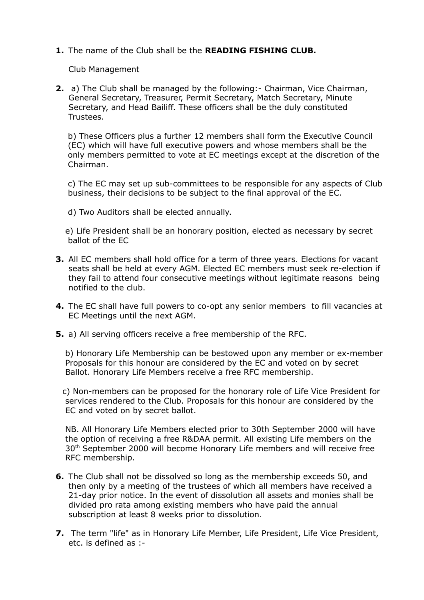**1.** The name of the Club shall be the **READING FISHING CLUB.**

Club Management

**2.** a) The Club shall be managed by the following:- Chairman, Vice Chairman, General Secretary, Treasurer, Permit Secretary, Match Secretary, Minute Secretary, and Head Bailiff. These officers shall be the duly constituted Trustees.

 b) These Officers plus a further 12 members shall form the Executive Council (EC) which will have full executive powers and whose members shall be the only members permitted to vote at EC meetings except at the discretion of the Chairman.

 c) The EC may set up sub-committees to be responsible for any aspects of Club business, their decisions to be subject to the final approval of the EC.

d) Two Auditors shall be elected annually.

 e) Life President shall be an honorary position, elected as necessary by secret ballot of the EC

- **3.** All EC members shall hold office for a term of three years. Elections for vacant seats shall be held at every AGM. Elected EC members must seek re-election if they fail to attend four consecutive meetings without legitimate reasons being notified to the club.
- **4.** The EC shall have full powers to co-opt any senior members to fill vacancies at EC Meetings until the next AGM.
- **5.** a) All serving officers receive a free membership of the RFC.

 b) Honorary Life Membership can be bestowed upon any member or ex-member Proposals for this honour are considered by the EC and voted on by secret Ballot. Honorary Life Members receive a free RFC membership.

 c) Non-members can be proposed for the honorary role of Life Vice President for services rendered to the Club. Proposals for this honour are considered by the EC and voted on by secret ballot.

 NB. All Honorary Life Members elected prior to 30th September 2000 will have the option of receiving a free R&DAA permit. All existing Life members on the 30<sup>th</sup> September 2000 will become Honorary Life members and will receive free RFC membership.

- **6.** The Club shall not be dissolved so long as the membership exceeds 50, and then only by a meeting of the trustees of which all members have received a 21-day prior notice. In the event of dissolution all assets and monies shall be divided pro rata among existing members who have paid the annual subscription at least 8 weeks prior to dissolution.
- **7.** The term "life" as in Honorary Life Member, Life President, Life Vice President, etc. is defined as :-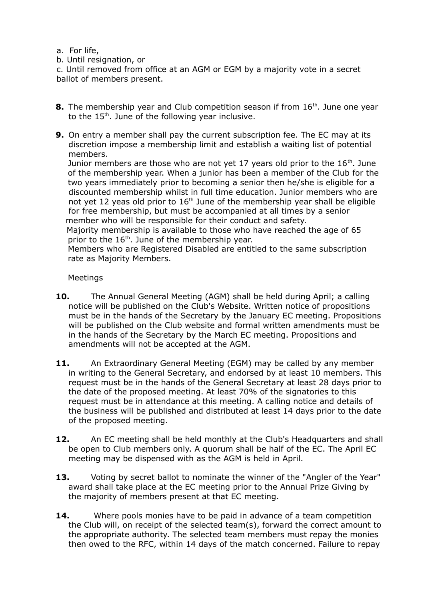- a. For life,
- b. Until resignation, or

c. Until removed from office at an AGM or EGM by a majority vote in a secret ballot of members present.

- **8.** The membership year and Club competition season if from 16<sup>th</sup>. June one year to the  $15<sup>th</sup>$ . June of the following year inclusive.
- **9.** On entry a member shall pay the current subscription fee. The EC may at its discretion impose a membership limit and establish a waiting list of potential members.

Junior members are those who are not yet 17 years old prior to the  $16<sup>th</sup>$ . June of the membership year. When a junior has been a member of the Club for the two years immediately prior to becoming a senior then he/she is eligible for a discounted membership whilst in full time education. Junior members who are not yet 12 yeas old prior to  $16<sup>th</sup>$  June of the membership year shall be eligible for free membership, but must be accompanied at all times by a senior member who will be responsible for their conduct and safety.

 Majority membership is available to those who have reached the age of 65 prior to the 16<sup>th</sup>. June of the membership year.

 Members who are Registered Disabled are entitled to the same subscription rate as Majority Members.

Meetings

- **10.** The Annual General Meeting (AGM) shall be held during April; a calling notice will be published on the Club's Website. Written notice of propositions must be in the hands of the Secretary by the January EC meeting. Propositions will be published on the Club website and formal written amendments must be in the hands of the Secretary by the March EC meeting. Propositions and amendments will not be accepted at the AGM.
- **11.** An Extraordinary General Meeting (EGM) may be called by any member in writing to the General Secretary, and endorsed by at least 10 members. This request must be in the hands of the General Secretary at least 28 days prior to the date of the proposed meeting. At least 70% of the signatories to this request must be in attendance at this meeting. A calling notice and details of the business will be published and distributed at least 14 days prior to the date of the proposed meeting.
- **12.** An EC meeting shall be held monthly at the Club's Headquarters and shall be open to Club members only. A quorum shall be half of the EC. The April EC meeting may be dispensed with as the AGM is held in April.
- **13.** Voting by secret ballot to nominate the winner of the "Angler of the Year" award shall take place at the EC meeting prior to the Annual Prize Giving by the majority of members present at that EC meeting.
- **14.** Where pools monies have to be paid in advance of a team competition the Club will, on receipt of the selected team(s), forward the correct amount to the appropriate authority. The selected team members must repay the monies then owed to the RFC, within 14 days of the match concerned. Failure to repay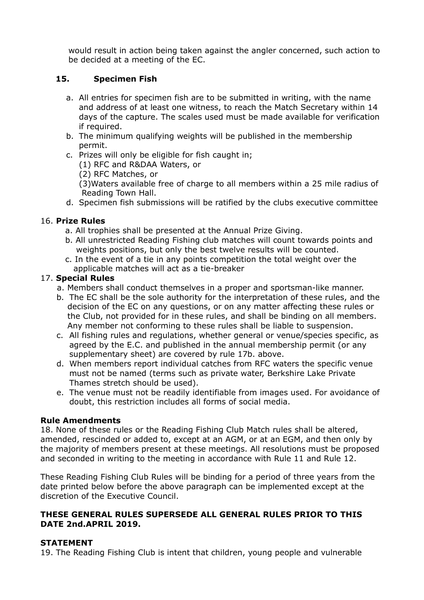would result in action being taken against the angler concerned, such action to be decided at a meeting of the EC.

# **15. Specimen Fish**

- a. All entries for specimen fish are to be submitted in writing, with the name and address of at least one witness, to reach the Match Secretary within 14 days of the capture. The scales used must be made available for verification if required.
- b. The minimum qualifying weights will be published in the membership permit.
- c. Prizes will only be eligible for fish caught in;
	- (1) RFC and R&DAA Waters, or
	- (2) RFC Matches, or

 (3)Waters available free of charge to all members within a 25 mile radius of Reading Town Hall.

d. Specimen fish submissions will be ratified by the clubs executive committee

### 16. **Prize Rules**

- a. All trophies shall be presented at the Annual Prize Giving.
- b. All unrestricted Reading Fishing club matches will count towards points and weights positions, but only the best twelve results will be counted.
- c. In the event of a tie in any points competition the total weight over the applicable matches will act as a tie-breaker

#### 17. **Special Rules**

- a. Members shall conduct themselves in a proper and sportsman-like manner.
- b. The EC shall be the sole authority for the interpretation of these rules, and the decision of the EC on any questions, or on any matter affecting these rules or the Club, not provided for in these rules, and shall be binding on all members. Any member not conforming to these rules shall be liable to suspension.
- c. All fishing rules and regulations, whether general or venue/species specific, as agreed by the E.C. and published in the annual membership permit (or any supplementary sheet) are covered by rule 17b. above.
- d. When members report individual catches from RFC waters the specific venue must not be named (terms such as private water, Berkshire Lake Private Thames stretch should be used).
- e. The venue must not be readily identifiable from images used. For avoidance of doubt, this restriction includes all forms of social media.

# **Rule Amendments**

18. None of these rules or the Reading Fishing Club Match rules shall be altered, amended, rescinded or added to, except at an AGM, or at an EGM, and then only by the majority of members present at these meetings. All resolutions must be proposed and seconded in writing to the meeting in accordance with Rule 11 and Rule 12.

These Reading Fishing Club Rules will be binding for a period of three years from the date printed below before the above paragraph can be implemented except at the discretion of the Executive Council.

# **THESE GENERAL RULES SUPERSEDE ALL GENERAL RULES PRIOR TO THIS DATE 2nd.APRIL 2019.**

#### **STATEMENT**

19. The Reading Fishing Club is intent that children, young people and vulnerable